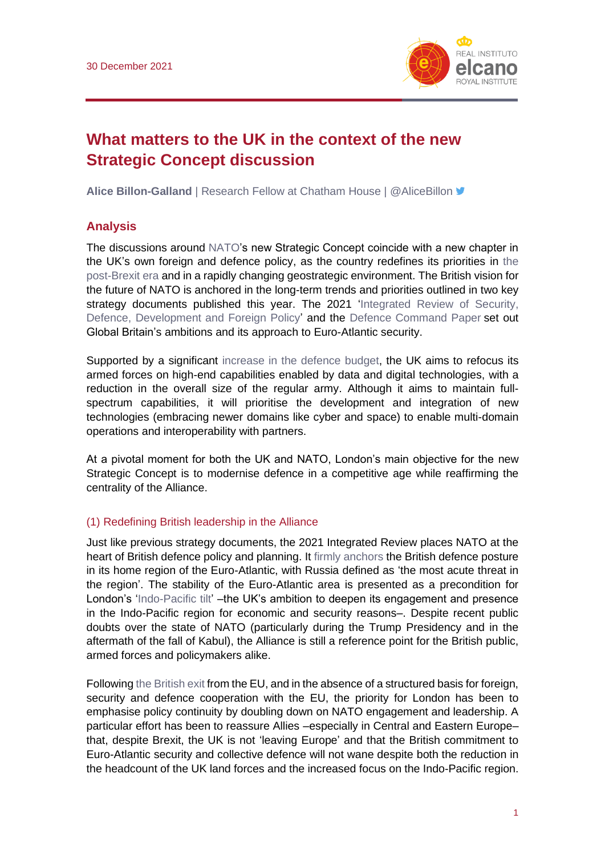

# **What matters to the UK in the context of the new Strategic Concept discussion**

**Alice Billon-Galland** | Research Fellow at Chatham House | @AliceBillon

## **Analysis**

The discussions around [NATO'](https://blog.realinstitutoelcano.org/en/tag/nato/)s new Strategic Concept coincide with a new chapter in the UK's own foreign and defence policy, as the country redefines its priorities in [the](http://www.realinstitutoelcano.org/wps/portal/rielcano_es/contenido?WCM_GLOBAL_CONTEXT=/elcano/elcano_es/zonas_es/ari51-2016-arteaga-defensa-y-seguridad-de-la-ue-tras-el-brexit)  [post-Brexit era](http://www.realinstitutoelcano.org/wps/portal/rielcano_es/contenido?WCM_GLOBAL_CONTEXT=/elcano/elcano_es/zonas_es/ari51-2016-arteaga-defensa-y-seguridad-de-la-ue-tras-el-brexit) and in a rapidly changing geostrategic environment. The British vision for the future of NATO is anchored in the long-term trends and priorities outlined in two key strategy documents published this year. The 2021 'Integrated Review of Security, [Defence, Development and Foreign Policy'](https://assets.publishing.service.gov.uk/government/uploads/system/uploads/attachment_data/file/975077/Global_Britain_in_a_Competitive_Age-_the_Integrated_Review_of_Security__Defence__Development_and_Foreign_Policy.pdf) and the [Defence Command Paper](https://assets.publishing.service.gov.uk/government/uploads/system/uploads/attachment_data/file/974661/CP411_-Defence_Command_Plan.pdf) set out Global Britain's ambitions and its approach to Euro-Atlantic security.

Supported by a significant [increase in the defence budget,](https://commonslibrary.parliament.uk/research-briefings/cbp-8175/) the UK aims to refocus its armed forces on high-end capabilities enabled by data and digital technologies, with a reduction in the overall size of the regular army. Although it aims to maintain fullspectrum capabilities, it will prioritise the development and integration of new technologies (embracing newer domains like cyber and space) to enable multi-domain operations and interoperability with partners.

At a pivotal moment for both the UK and NATO, London's main objective for the new Strategic Concept is to modernise defence in a competitive age while reaffirming the centrality of the Alliance.

#### (1) Redefining British leadership in the Alliance

Just like previous strategy documents, the 2021 Integrated Review places NATO at the heart of British defence policy and planning. It [firmly anchors](https://hansard.parliament.uk/commons/2021-03-22/debates/49173AD7-1180-4251-8F29-58EB9E9D1C75/IntegratedReviewDefenceCommandPaper) the British defence posture in its home region of the Euro-Atlantic, with Russia defined as 'the most acute threat in the region'. The stability of the Euro-Atlantic area is presented as a precondition for London's ['Indo-Pacific tilt'](https://www.iiss.org/blogs/analysis/2021/04/uk-indo-pacific-tilt) –the UK's ambition to deepen its engagement and presence in the Indo-Pacific region for economic and security reasons–. Despite recent public doubts over the state of NATO (particularly during the Trump Presidency and in the aftermath of the fall of Kabul), the Alliance is still a reference point for the British public, armed forces and policymakers alike.

Following [the British](https://especiales.realinstitutoelcano.org/brexit/) exit from the EU, and in the absence of a structured basis for foreign, security and defence cooperation with the EU, the priority for London has been to emphasise policy continuity by doubling down on NATO engagement and leadership. A particular effort has been to reassure Allies –especially in Central and Eastern Europe– that, despite Brexit, the UK is not 'leaving Europe' and that the British commitment to Euro-Atlantic security and collective defence will not wane despite both the reduction in the headcount of the UK land forces and the increased focus on the Indo-Pacific region.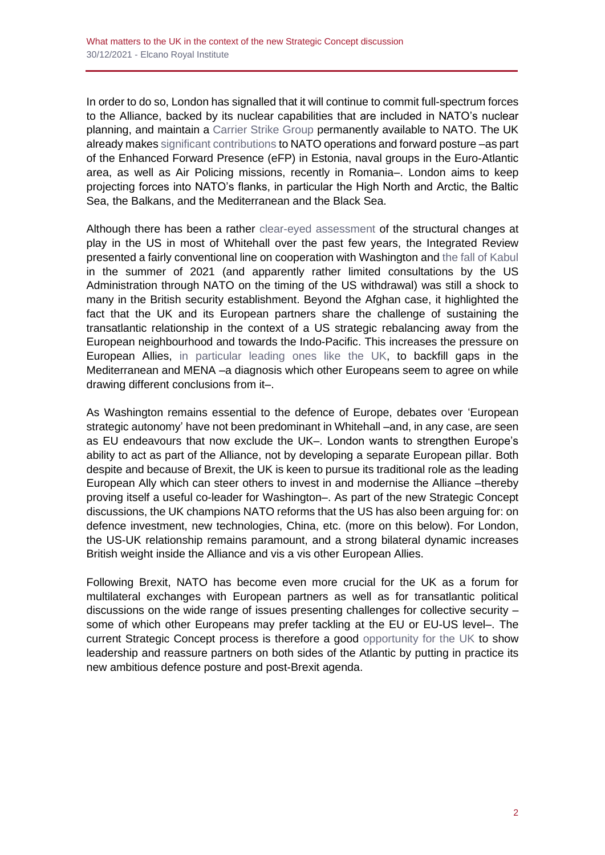In order to do so, London has signalled that it will continue to commit full-spectrum forces to the Alliance, backed by its nuclear capabilities that are included in NATO's nuclear planning, and maintain a [Carrier Strike Group](https://ukdefencejournal.org.uk/uk-to-have-carrier-strike-group-permanently-available/) permanently available to NATO. The UK already makes [significant contributions](https://fpc.org.uk/the-uk-and-european-defence-will-nato-be-enough/) to NATO operations and forward posture –as part of the Enhanced Forward Presence (eFP) in Estonia, naval groups in the Euro-Atlantic area, as well as Air Policing missions, recently in Romania–. London aims to keep projecting forces into NATO's flanks, in particular the High North and Arctic, the Baltic Sea, the Balkans, and the Mediterranean and the Black Sea.

Although there has been a rather [clear-eyed assessment](https://www.bbc.co.uk/news/uk-51081861) of the structural changes at play in the US in most of Whitehall over the past few years, the Integrated Review presented a fairly conventional line on cooperation with Washington and [the fall of Kabul](http://www.realinstitutoelcano.org/wps/portal/rielcano_es/contenido?WCM_GLOBAL_CONTEXT=/elcano/elcano_es/zonas_es/comentario-simon-fin-ciclo-la-caida-de-afganistan-en-perspectiva-estrategica) in the summer of 2021 (and apparently rather limited consultations by the US Administration through NATO on the timing of the US withdrawal) was still a shock to many in the British security establishment. Beyond the Afghan case, it highlighted the fact that the UK and its European partners share the challenge of sustaining the transatlantic relationship in the context of a US strategic rebalancing away from the European neighbourhood and towards the Indo-Pacific. This increases the pressure on European Allies, [in particular leading ones like](https://static.rusi.org/rusi_pub_281_chalmers_final_web_version_0_0.pdf) the UK, to backfill gaps in the Mediterranean and MENA –a diagnosis which other Europeans seem to agree on while drawing different conclusions from it–.

As Washington remains essential to the defence of Europe, debates over 'European strategic autonomy' have not been predominant in Whitehall –and, in any case, are seen as EU endeavours that now exclude the UK–. London wants to strengthen Europe's ability to act as part of the Alliance, not by developing a separate European pillar. Both despite and because of Brexit, the UK is keen to pursue its traditional role as the leading European Ally which can steer others to invest in and modernise the Alliance –thereby proving itself a useful co-leader for Washington–. As part of the new Strategic Concept discussions, the UK champions NATO reforms that the US has also been arguing for: on defence investment, new technologies, China, etc. (more on this below). For London, the US-UK relationship remains paramount, and a strong bilateral dynamic increases British weight inside the Alliance and vis a vis other European Allies.

Following Brexit, NATO has become even more crucial for the UK as a forum for multilateral exchanges with European partners as well as for transatlantic political discussions on the wide range of issues presenting challenges for collective security – some of which other Europeans may prefer tackling at the EU or EU-US level–. The current Strategic Concept process is therefore a good [opportunity for the UK](https://committees.parliament.uk/oralevidence/1779/pdf/) to show leadership and reassure partners on both sides of the Atlantic by putting in practice its new ambitious defence posture and post-Brexit agenda.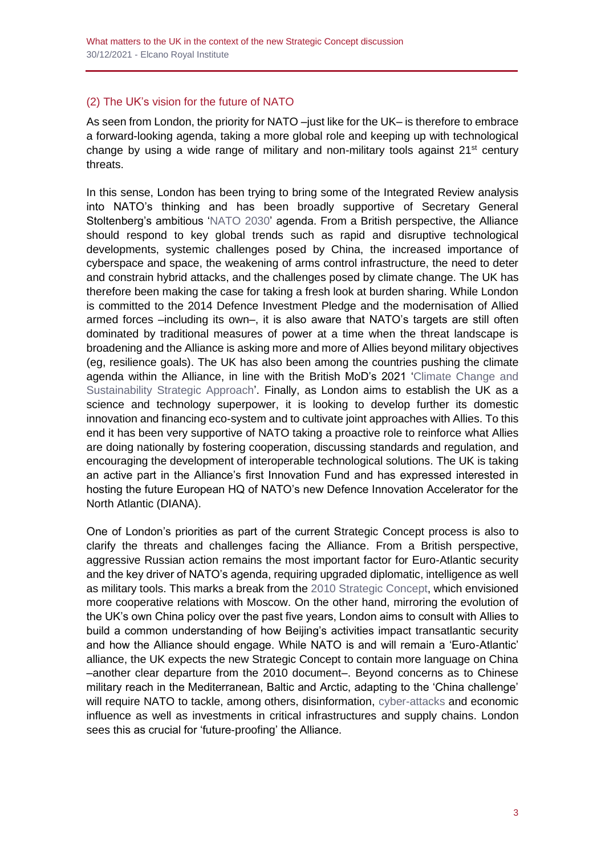## (2) The UK's vision for the future of NATO

As seen from London, the priority for NATO –just like for the UK– is therefore to embrace a forward-looking agenda, taking a more global role and keeping up with technological change by using a wide range of military and non-military tools against  $21<sup>st</sup>$  century threats.

In this sense, London has been trying to bring some of the Integrated Review analysis into NATO's thinking and has been broadly supportive of Secretary General Stoltenberg's ambitious ['NATO 2030'](https://www.nato.int/nato2030/) agenda. From a British perspective, the Alliance should respond to key global trends such as rapid and disruptive technological developments, systemic challenges posed by China, the increased importance of cyberspace and space, the weakening of arms control infrastructure, the need to deter and constrain hybrid attacks, and the challenges posed by climate change. The UK has therefore been making the case for taking a fresh look at burden sharing. While London is committed to the 2014 Defence Investment Pledge and the modernisation of Allied armed forces –including its own–, it is also aware that NATO's targets are still often dominated by traditional measures of power at a time when the threat landscape is broadening and the Alliance is asking more and more of Allies beyond military objectives (eg, resilience goals). The UK has also been among the countries pushing the climate agenda within the Alliance, in line with the British MoD's 2021 ['Climate Change and](https://assets.publishing.service.gov.uk/government/uploads/system/uploads/attachment_data/file/973707/20210326_Climate_Change_Sust_Strategy_v1.pdf)  [Sustainability Strategic Approach'](https://assets.publishing.service.gov.uk/government/uploads/system/uploads/attachment_data/file/973707/20210326_Climate_Change_Sust_Strategy_v1.pdf). Finally, as London aims to establish the UK as a science and technology superpower, it is looking to develop further its domestic innovation and financing eco-system and to cultivate joint approaches with Allies. To this end it has been very supportive of NATO taking a proactive role to reinforce what Allies are doing nationally by fostering cooperation, discussing standards and regulation, and encouraging the development of interoperable technological solutions. The UK is taking an active part in the Alliance's first Innovation Fund and has expressed interested in hosting the future European HQ of NATO's new Defence Innovation Accelerator for the North Atlantic (DIANA).

One of London's priorities as part of the current Strategic Concept process is also to clarify the threats and challenges facing the Alliance. From a British perspective, aggressive Russian action remains the most important factor for Euro-Atlantic security and the key driver of NATO's agenda, requiring upgraded diplomatic, intelligence as well as military tools. This marks a break from the [2010 Strategic Concept,](https://www.nato.int/nato_static_fl2014/assets/pdf/pdf_publications/20120214_strategic-concept-2010-eng.pdf) which envisioned more cooperative relations with Moscow. On the other hand, mirroring the evolution of the UK's own China policy over the past five years, London aims to consult with Allies to build a common understanding of how Beijing's activities impact transatlantic security and how the Alliance should engage. While NATO is and will remain a 'Euro-Atlantic' alliance, the UK expects the new Strategic Concept to contain more language on China –another clear departure from the 2010 document–. Beyond concerns as to Chinese military reach in the Mediterranean, Baltic and Arctic, adapting to the 'China challenge' will require NATO to tackle, among others, disinformation, [cyber-attacks](http://www.realinstitutoelcano.org/wps/portal/rielcano_en/contenido?WCM_GLOBAL_CONTEXT=/elcano/elcano_in/zonas_in/wp11-2021-soesanto-the-19th-july-divided-or-united-in-cyberspace-from-eu-nato-five-eyes-japan) and economic influence as well as investments in critical infrastructures and supply chains. London sees this as crucial for 'future-proofing' the Alliance.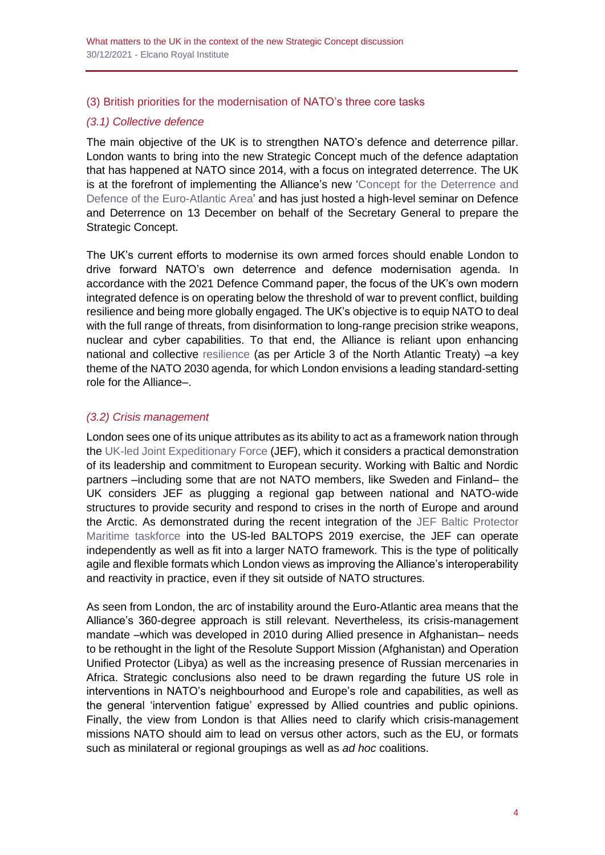#### (3) British priorities for the modernisation of NATO's three core tasks

## *(3.1) Collective defence*

The main objective of the UK is to strengthen NATO's defence and deterrence pillar. London wants to bring into the new Strategic Concept much of the defence adaptation that has happened at NATO since 2014, with a focus on integrated deterrence. The UK is at the forefront of implementing the Alliance's new ['Concept for the Deterrence and](https://www.nato.int/cps/en/natohq/topics_133127.htm)  [Defence of the Euro-Atlantic Area'](https://www.nato.int/cps/en/natohq/topics_133127.htm) and has just hosted a high-level seminar on Defence and Deterrence on 13 December on behalf of the Secretary General to prepare the Strategic Concept.

The UK's current efforts to modernise its own armed forces should enable London to drive forward NATO's own deterrence and defence modernisation agenda. In accordance with the 2021 Defence Command paper, the focus of the UK's own modern integrated defence is on operating below the threshold of war to prevent conflict, building resilience and being more globally engaged. The UK's objective is to equip NATO to deal with the full range of threats, from disinformation to long-range precision strike weapons, nuclear and cyber capabilities. To that end, the Alliance is reliant upon enhancing national and collective [resilience](https://rusi.org/explore-our-research/publications/commentary/renaissance-strategy-nato-summit-2021) (as per Article 3 of the North Atlantic Treaty) –a key theme of the NATO 2030 agenda, for which London envisions a leading standard-setting role for the Alliance–.

### *(3.2) Crisis management*

London sees one of its unique attributes as its ability to act as a framework nation through the [UK-led Joint Expeditionary Force](https://www.gov.uk/government/publications/joint-expeditionary-force-policy-direction-july-2021/joint-expeditionary-force-jef-policy-direction) (JEF), which it considers a practical demonstration of its leadership and commitment to European security. Working with Baltic and Nordic partners –including some that are not NATO members, like Sweden and Finland– the UK considers JEF as plugging a regional gap between national and NATO-wide structures to provide security and respond to crises in the north of Europe and around the Arctic. As demonstrated during the recent integration of the [JEF Baltic Protector](https://www.csis.org/analysis/joint-expeditionary-force-toward-stronger-and-more-capable-european-defense)  [Maritime taskforce](https://www.csis.org/analysis/joint-expeditionary-force-toward-stronger-and-more-capable-european-defense) into the US-led BALTOPS 2019 exercise, the JEF can operate independently as well as fit into a larger NATO framework. This is the type of politically agile and flexible formats which London views as improving the Alliance's interoperability and reactivity in practice, even if they sit outside of NATO structures.

As seen from London, the arc of instability around the Euro-Atlantic area means that the Alliance's 360-degree approach is still relevant. Nevertheless, its crisis-management mandate –which was developed in 2010 during Allied presence in Afghanistan– needs to be rethought in the light of the Resolute Support Mission (Afghanistan) and Operation Unified Protector (Libya) as well as the increasing presence of Russian mercenaries in Africa. Strategic conclusions also need to be drawn regarding the future US role in interventions in NATO's neighbourhood and Europe's role and capabilities, as well as the general 'intervention fatigue' expressed by Allied countries and public opinions. Finally, the view from London is that Allies need to clarify which crisis-management missions NATO should aim to lead on versus other actors, such as the EU, or formats such as minilateral or regional groupings as well as *ad hoc* coalitions.